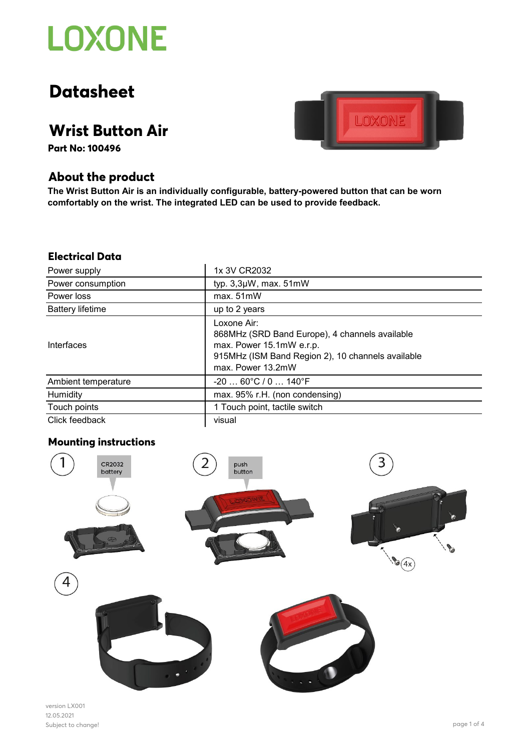

# **Datasheet**

## **Wrist Button Air**

**Part No: 100496**



**The Wrist Button Air is an individually configurable, battery-powered button that can be worn comfortably on the wrist. The integrated LED can be used to provide feedback.**

LOXONE

#### **Electrical Data**

| Power supply            | 1x 3V CR2032                                                                                                                                                        |
|-------------------------|---------------------------------------------------------------------------------------------------------------------------------------------------------------------|
| Power consumption       | typ. 3,3µW, max. 51mW                                                                                                                                               |
| Power loss              | max. 51mW                                                                                                                                                           |
| <b>Battery lifetime</b> | up to 2 years                                                                                                                                                       |
| Interfaces              | Loxone Air:<br>868MHz (SRD Band Europe), 4 channels available<br>max. Power 15.1mW e.r.p.<br>915MHz (ISM Band Region 2), 10 channels available<br>max. Power 13.2mW |
| Ambient temperature     | $-2060^{\circ}C/0140^{\circ}F$                                                                                                                                      |
| Humidity                | max. 95% r.H. (non condensing)                                                                                                                                      |
| Touch points            | 1 Touch point, tactile switch                                                                                                                                       |
| Click feedback          | visual                                                                                                                                                              |

### **Mounting instructions**



version LX001 12.05.2021 Subject to change! page 1 of 4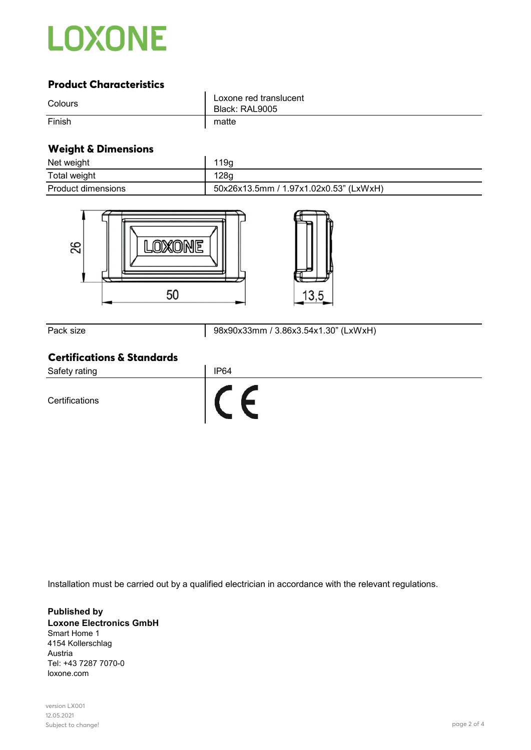

## **Product Characteristics**

| Colours | Loxone red translucent<br>Black: RAL9005 |
|---------|------------------------------------------|
| Finish  | matte                                    |

## **Weight & Dimensions**

| Net weight                                                               | 119g                                   |
|--------------------------------------------------------------------------|----------------------------------------|
| Total weight                                                             | 128g                                   |
| Product dimensions                                                       | 50x26x13.5mm / 1.97x1.02x0.53" (LxWxH) |
| 82<br>50                                                                 | 13,5                                   |
| Pack size                                                                | 98x90x33mm / 3.86x3.54x1.30" (LxWxH)   |
| <b>Certifications &amp; Standards</b><br>Safety rating<br>Certifications | IP <sub>64</sub>                       |

Installation must be carried out by a qualified electrician in accordance with the relevant regulations.

**Published by Loxone Electronics GmbH** Smart Home 1 4154 Kollerschlag Austria Tel: +43 7287 7070-0 loxone.com

version LX001 12.05.2021 Subject to change! page 2 of 4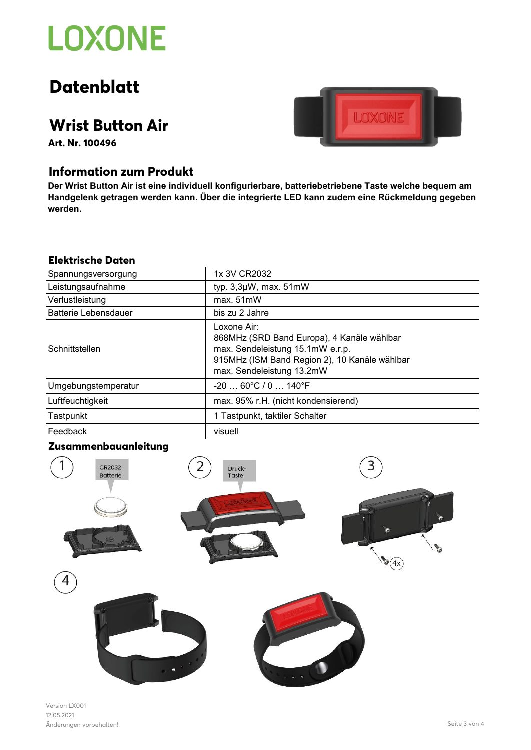# **LOXONE**

## **Datenblatt**

## **Wrist Button Air**

**Art. Nr. 100496**

## **Information zum Produkt**

**Der Wrist Button Air ist eine individuell konfigurierbare, batteriebetriebene Taste welche bequem am Handgelenk getragen werden kann. Über die integrierte LED kann zudem eine Rückmeldung gegeben werden.**

## **Elektrische Daten**

| Spannungsversorgung  | 1x 3V CR2032                                                                                                                                                                |
|----------------------|-----------------------------------------------------------------------------------------------------------------------------------------------------------------------------|
| Leistungsaufnahme    | typ. 3,3µW, max. 51mW                                                                                                                                                       |
| Verlustleistung      | max. 51mW                                                                                                                                                                   |
| Batterie Lebensdauer | bis zu 2 Jahre                                                                                                                                                              |
| Schnittstellen       | Loxone Air:<br>868MHz (SRD Band Europa), 4 Kanäle wählbar<br>max. Sendeleistung 15.1mW e.r.p.<br>915MHz (ISM Band Region 2), 10 Kanäle wählbar<br>max. Sendeleistung 13.2mW |
| Umgebungstemperatur  | $-2060^{\circ}$ C / 0 $$ 140 $^{\circ}$ F                                                                                                                                   |
| Luftfeuchtigkeit     | max. 95% r.H. (nicht kondensierend)                                                                                                                                         |
| Tastpunkt            | 1 Tastpunkt, taktiler Schalter                                                                                                                                              |
| Feedback             | visuell                                                                                                                                                                     |

## **Zusammenbauanleitung**



Version LX001 12.05.2021 Änderungen vorbehalten! Seite 3 von 4